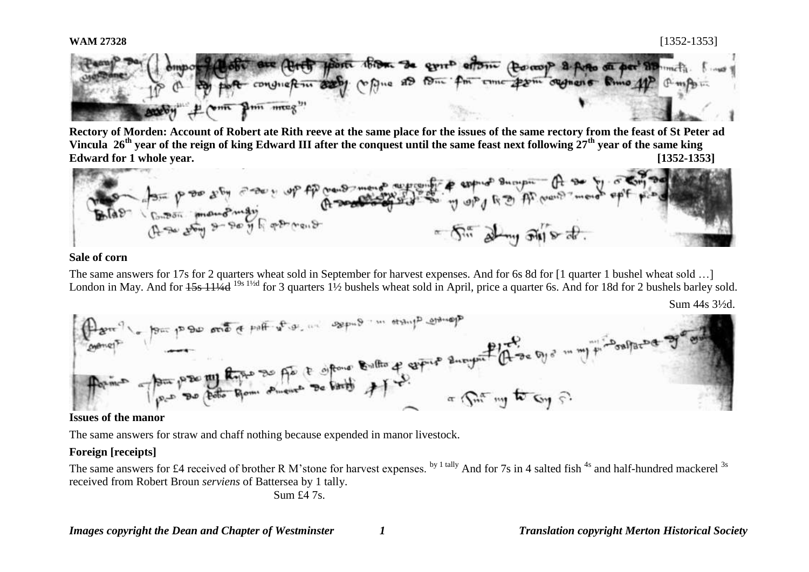

**Rectory of Morden: Account of Robert ate Rith reeve at the same place for the issues of the same rectory from the feast of St Peter ad Vincula 26th year of the reign of king Edward III after the conquest until the same feast next following 27th year of the same king** 



# **Sale of corn**

The same answers for 17s for 2 quarters wheat sold in September for harvest expenses. And for 6s 8d for [1 quarter 1 bushel wheat sold …] London in May. And for  $15s\ 11/4d$  <sup>19s 1½d</sup> for 3 quarters 1½ bushels wheat sold in April, price a quarter 6s. And for 18d for 2 bushels barley sold.

Sum 44s 3½d.



The same answers for straw and chaff nothing because expended in manor livestock.

# **Foreign [receipts]**

The same answers for £4 received of brother R M'stone for harvest expenses. <sup>by 1 tally</sup> And for 7s in 4 salted fish <sup>4s</sup> and half-hundred mackerel <sup>3s</sup> received from Robert Broun *serviens* of Battersea by 1 tally.

Sum £4 7s.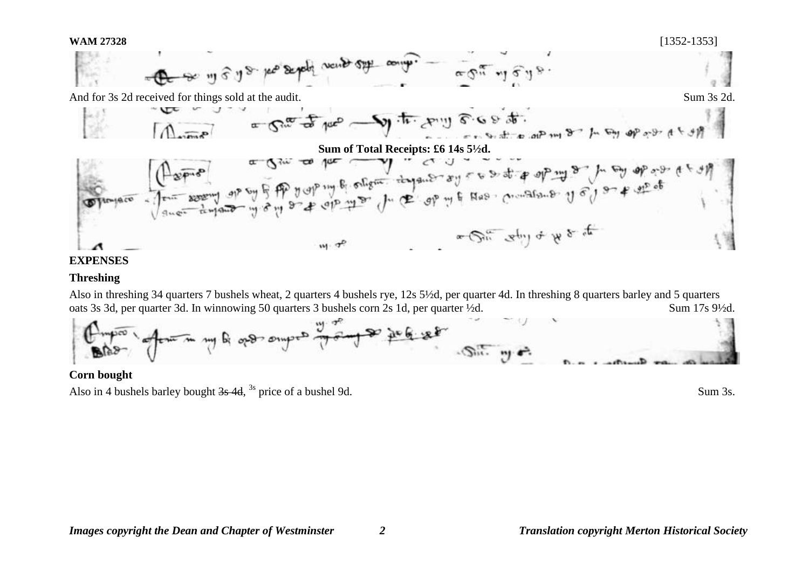# **WAM 27328** [1352-1353]







## **EXPENSES**

# **Threshing**

Also in threshing 34 quarters 7 bushels wheat, 2 quarters 4 bushels rye, 12s 5½d, per quarter 4d. In threshing 8 quarters barley and 5 quarters oats 3s 3d, per quarter 3d. In winnowing 50 quarters 3 bushels corn 2s 1d, per quarter ½d. Sum 17s 9½d.



**Corn bought** Also in 4 bushels barley bought  $3s$  4d, <sup>3s</sup> price of a bushel 9d. Sum 3s.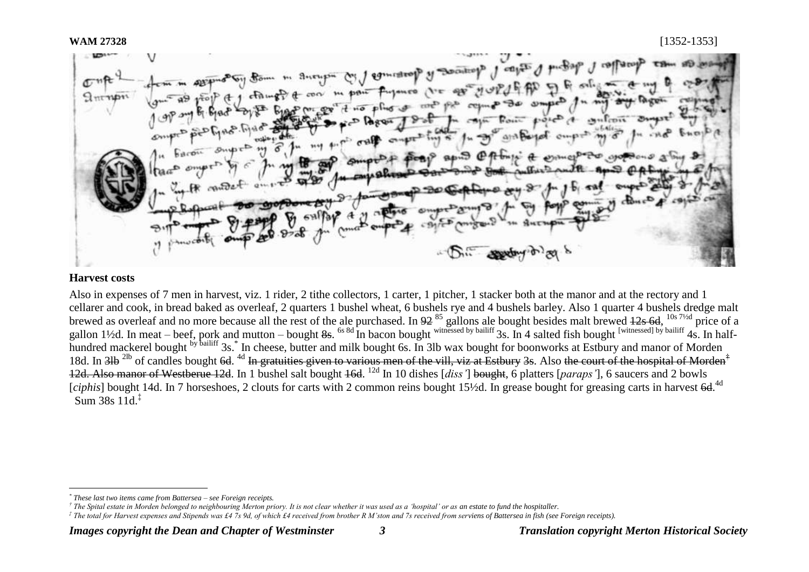**My Beatty** M. 1 generation  $m + 1$  $Q_{\rm 311}Q_{\rm 11}$  $\overline{\phantom{a}}$ annuaporto

# **Harvest costs**

Also in expenses of 7 men in harvest, viz. 1 rider, 2 tithe collectors, 1 carter, 1 pitcher, 1 stacker both at the manor and at the rectory and 1 cellarer and cook, in bread baked as overleaf, 2 quarters 1 bushel wheat, 6 bushels rye and 4 bushels barley. Also 1 quarter 4 bushels dredge malt brewed as overleaf and no more because all the rest of the ale purchased. In  $92^{85}$  gallons ale bought besides malt brewed  $12s$  6d,  $^{10s}$  7<sup>1/2d</sup> price of a gallon 1½d. In meat – beef, pork and mutton – bought 8s. <sup>6s 8d</sup> In bacon bought witnessed by bailiff 3s. In 4 salted fish bought <sup>[witnessed] by bailiff</sup> 4s. In halfhundred mackerel bought <sup>by bailiff</sup> 3s.<sup>\*</sup> In cheese, butter and milk bought 6s. In 3lb wax bought for boonworks at Estbury and manor of Morden 18d. In 3lb <sup>2lb</sup> of candles bought 6d. <sup>4d</sup> In gratuities given to various men of the vill, viz at Estbury 3s. Also the court of the hospital of Morden<sup>†</sup> 12d. Also manor of Westberue 12d. In 1 bushel salt bought 16d. <sup>12d</sup> In 10 dishes [*diss'*] bought, 6 platters [*paraps'*], 6 saucers and 2 bowls [ciphis] bought 14d. In 7 horseshoes, 2 clouts for carts with 2 common reins bought 15<sup>1</sup>/2d. In grease bought for greasing carts in harvest 6d.<sup>4d</sup> Sum 38s 11d.‡

<sup>1</sup> *\* These last two items came from Battersea – see Foreign receipts.*

*<sup>†</sup> The Spital estate in Morden belonged to neighbouring Merton priory. It is not clear whether it was used as a 'hospital' or as an estate to fund the hospitaller.*

*<sup>‡</sup> The total for Harvest expenses and Stipends was £4 7s 9d, of which £4 received from brother R M'ston and 7s received from serviens of Battersea in fish (see Foreign receipts).*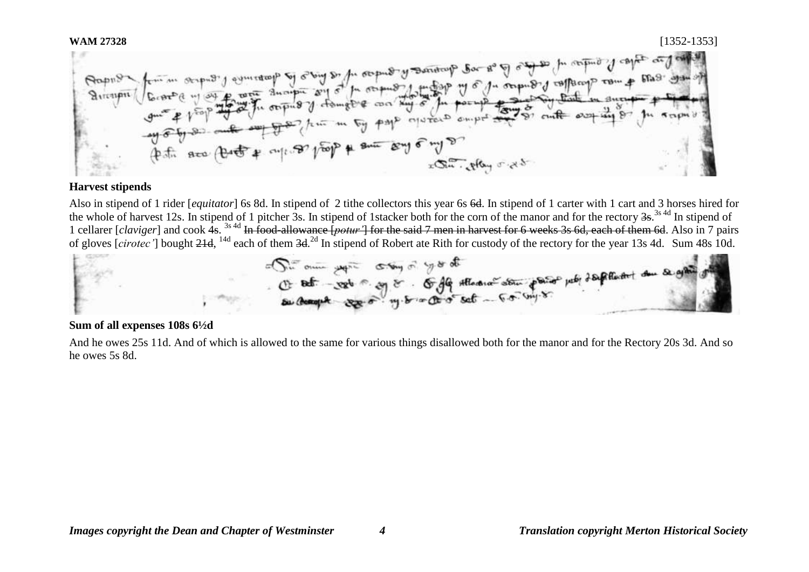As and the term is the wine and the soul of the one of the file of the company of the company of the company of the company of the company of the company of the company of the company of the company of the company of the c out of lead to the same seat e who  $25.2$  poly  $32x$ 

## **Harvest stipends**

Also in stipend of 1 rider [*equitator*] 6s 8d. In stipend of 2 tithe collectors this year 6s 6d. In stipend of 1 carter with 1 cart and 3 horses hired for the whole of harvest 12s. In stipend of 1 pitcher 3s. In stipend of 1stacker both for the corn of the manor and for the rectory 3s.<sup>3s 4d</sup> In stipend of 1 cellarer [*claviger*] and cook 4s. <sup>3s 4d</sup> In food-allowance [*potur'*] for the said 7 men in harvest for 6 weeks 3s 6d, each of them 6d. Also in 7 pairs of gloves [cirotec'] bought 21d, <sup>14d</sup> each of them 3d.<sup>2d</sup> In stipend of Robert ate Rith for custody of the rectory for the year 13s 4d. Sum 48s 10d.



## **Sum of all expenses 108s 6½d**

And he owes 25s 11d. And of which is allowed to the same for various things disallowed both for the manor and for the Rectory 20s 3d. And so he owes 5s 8d.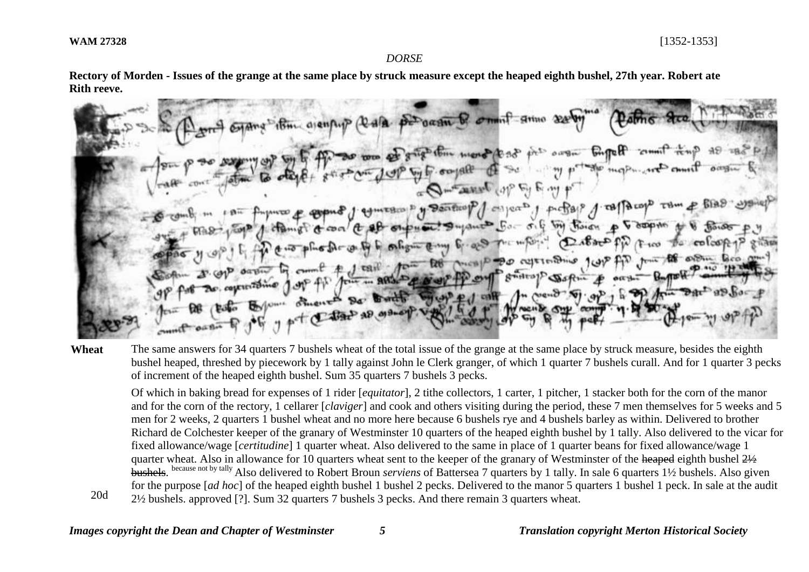20d

#### *DORSE*

**Rectory of Morden - Issues of the grange at the same place by struck measure except the heaped eighth bushel, 27th year. Robert ate Rith reeve.**

and itim ajentup (Rala percent & omnit anno se to was of grip this more (2 25  $v^{(1)}$  ough  $E_{n}$  reff by fr. oo jaffe O manuf op E Finy mos & coping of comesco is y Denticopof on parts of propage of confliction tom of a coal a off outward Superint for oil by there p mpor Castropp De canto to onlight comp 6. a To agriculture just fin from the order for **POICEIP** रिह  $-$  Acro From ... ARS. D. & Well Por  $g$ welto $g$ Eyome othered De Butto  $\alpha$ end  $P_1$  of of y pet Cabach as assessed

Wheat The same answers for 34 quarters 7 bushels wheat of the total issue of the grange at the same place by struck measure, besides the eighth bushel heaped, threshed by piecework by 1 tally against John le Clerk granger, of which 1 quarter 7 bushels curall. And for 1 quarter 3 pecks of increment of the heaped eighth bushel. Sum 35 quarters 7 bushels 3 pecks.

Of which in baking bread for expenses of 1 rider [*equitator*], 2 tithe collectors, 1 carter, 1 pitcher, 1 stacker both for the corn of the manor and for the corn of the rectory, 1 cellarer [*claviger*] and cook and others visiting during the period, these 7 men themselves for 5 weeks and 5 men for 2 weeks, 2 quarters 1 bushel wheat and no more here because 6 bushels rye and 4 bushels barley as within. Delivered to brother Richard de Colchester keeper of the granary of Westminster 10 quarters of the heaped eighth bushel by 1 tally. Also delivered to the vicar for fixed allowance/wage [*certitudine*] 1 quarter wheat. Also delivered to the same in place of 1 quarter beans for fixed allowance/wage 1 quarter wheat. Also in allowance for 10 quarters wheat sent to the keeper of the granary of Westminster of the heaped eighth bushel  $2\frac{1}{2}$ bushels. <sup>because not by tally</sup> Also delivered to Robert Broun *serviens* of Battersea 7 quarters by 1 tally. In sale 6 quarters 1½ bushels. Also given for the purpose [*ad hoc*] of the heaped eighth bushel 1 bushel 2 pecks. Delivered to the manor 5 quarters 1 bushel 1 peck. In sale at the audit 2½ bushels. approved [?]. Sum 32 quarters 7 bushels 3 pecks. And there remain 3 quarters wheat.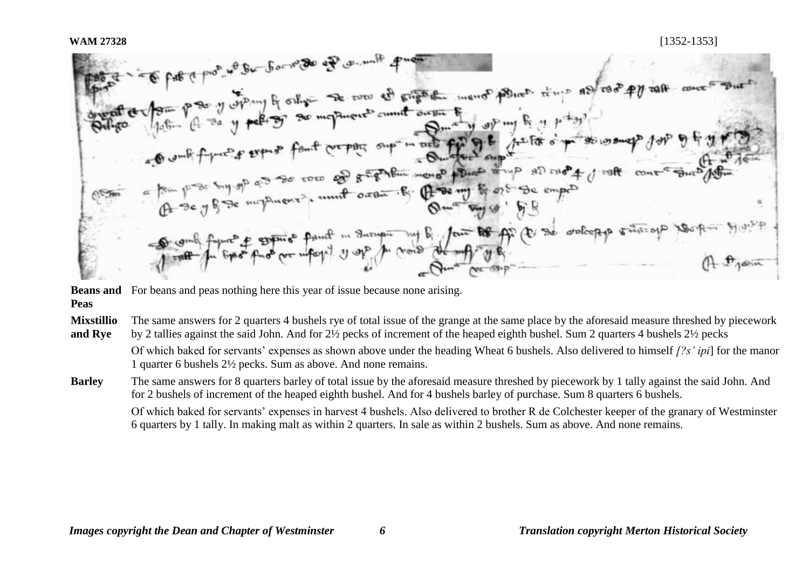WAM 27328<br> **WAM 27328**<br> **Considered by the constant of the second of the second of example in the post point of the constant of the constant of the constant of the constant of the constant of the constant of the constant o CESSICT** frynch & systems fant in Increasing By four Ro ff (E) de volcopp

**Beans and**  For beans and peas nothing here this year of issue because none arising.

**Peas** 

**Mixstillio and Rye** The same answers for 2 quarters 4 bushels rye of total issue of the grange at the same place by the aforesaid measure threshed by piecework by 2 tallies against the said John. And for 2½ pecks of increment of the heaped eighth bushel. Sum 2 quarters 4 bushels 2½ pecks

Of which baked for servants' expenses as shown above under the heading Wheat 6 bushels. Also delivered to himself *[?s' ipi*] for the manor 1 quarter 6 bushels 2½ pecks. Sum as above. And none remains.

**Barley** The same answers for 8 quarters barley of total issue by the aforesaid measure threshed by piecework by 1 tally against the said John. And for 2 bushels of increment of the heaped eighth bushel. And for 4 bushels barley of purchase. Sum 8 quarters 6 bushels.

Of which baked for servants' expenses in harvest 4 bushels. Also delivered to brother R de Colchester keeper of the granary of Westminster 6 quarters by 1 tally. In making malt as within 2 quarters. In sale as within 2 bushels. Sum as above. And none remains.